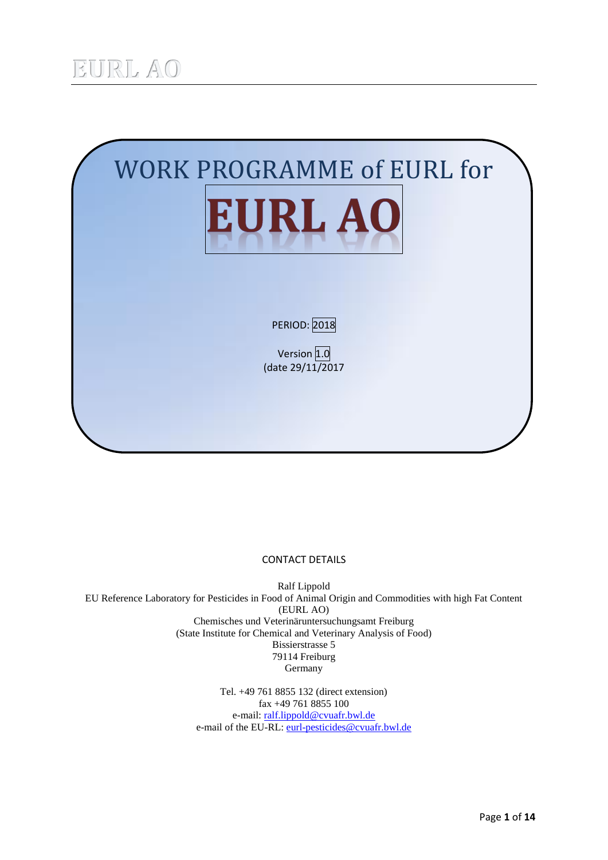

#### CONTACT DETAILS

Ralf Lippold EU Reference Laboratory for Pesticides in Food of Animal Origin and Commodities with high Fat Content (EURL AO) Chemisches und Veterinäruntersuchungsamt Freiburg (State Institute for Chemical and Veterinary Analysis of Food) Bissierstrasse 5 79114 Freiburg Germany

> Tel. +49 761 8855 132 (direct extension) fax +49 761 8855 100 e-mail[: ralf.lippold@cvuafr.bwl.de](mailto:ralf.lippold@cvuafr.bwl.de) e-mail of the EU-RL: [eurl-pesticides@cvuafr.bwl.de](mailto:eurl-pesticides@cvuafr.bwl.de)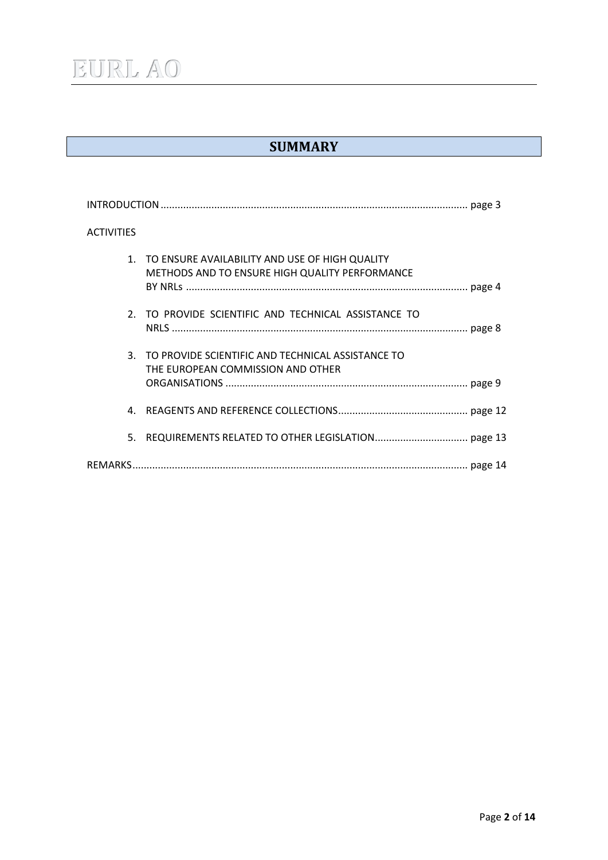## **SUMMARY**

| <b>ACTIVITIES</b>                                                                                   |
|-----------------------------------------------------------------------------------------------------|
| 1. TO ENSURE AVAILABILITY AND USE OF HIGH QUALITY<br>METHODS AND TO ENSURE HIGH QUALITY PERFORMANCE |
| 2. TO PROVIDE SCIENTIFIC AND TECHNICAL ASSISTANCE TO                                                |
| 3. TO PROVIDE SCIENTIFIC AND TECHNICAL ASSISTANCE TO<br>THE EUROPEAN COMMISSION AND OTHER           |
| 4.                                                                                                  |
| 5.                                                                                                  |
|                                                                                                     |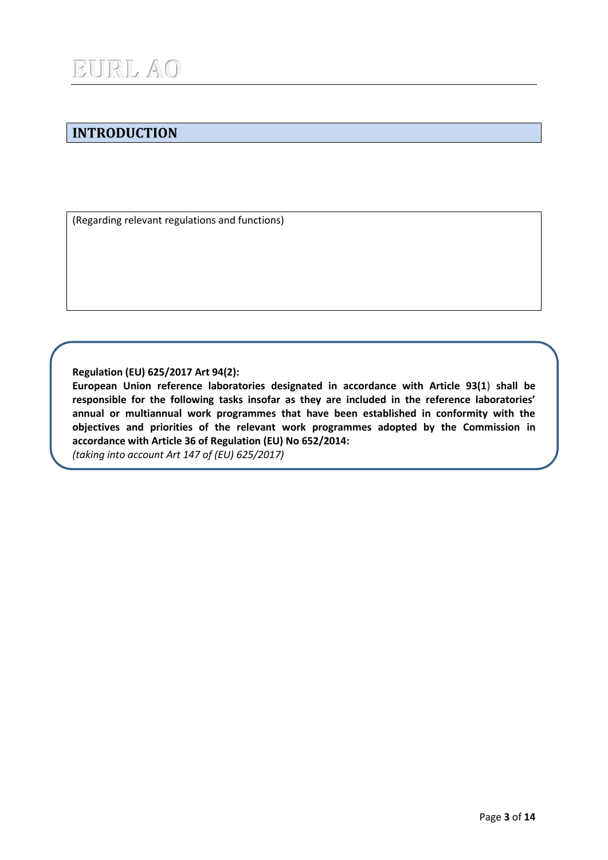## **INTRODUCTION**

(Regarding relevant regulations and functions)

**Regulation (EU) 625/2017 Art 94(2):**

**European Union reference laboratories designated in accordance with Article 93(1**) **shall be responsible for the following tasks insofar as they are included in the reference laboratories' annual or multiannual work programmes that have been established in conformity with the objectives and priorities of the relevant work programmes adopted by the Commission in accordance with Article 36 of Regulation (EU) No 652/2014:** *(taking into account Art 147 of (EU) 625/2017)*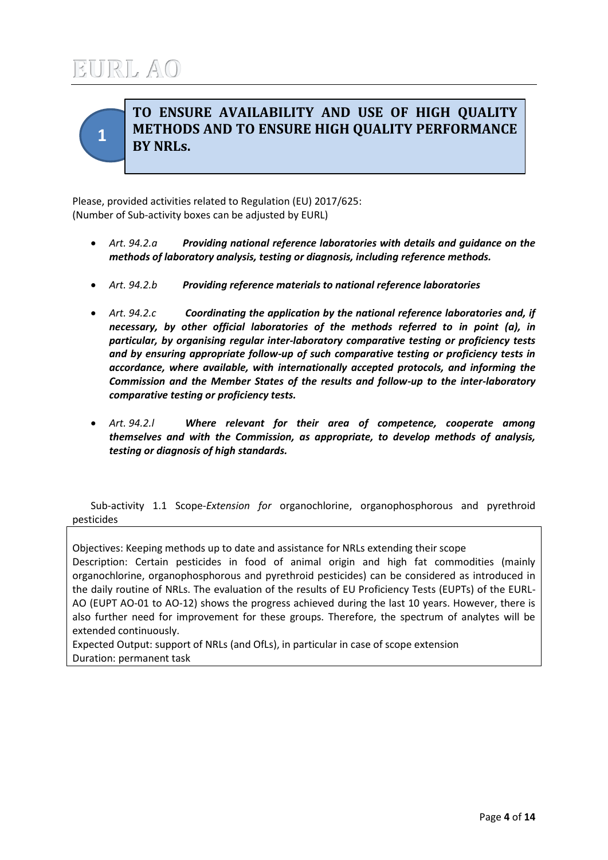

## **TO ENSURE AVAILABILITY AND USE OF HIGH QUALITY METHODS AND TO ENSURE HIGH QUALITY PERFORMANCE BY NRLs.**

Please, provided activities related to Regulation (EU) 2017/625: (Number of Sub-activity boxes can be adjusted by EURL)

- *Art. 94.2.a Providing national reference laboratories with details and guidance on the methods of laboratory analysis, testing or diagnosis, including reference methods.*
- *Art. 94.2.b Providing reference materials to national reference laboratories*
- *Art. 94.2.c Coordinating the application by the national reference laboratories and, if necessary, by other official laboratories of the methods referred to in point (a), in particular, by organising regular inter-laboratory comparative testing or proficiency tests and by ensuring appropriate follow-up of such comparative testing or proficiency tests in accordance, where available, with internationally accepted protocols, and informing the Commission and the Member States of the results and follow-up to the inter-laboratory comparative testing or proficiency tests.*
- *Art. 94.2.l Where relevant for their area of competence, cooperate among themselves and with the Commission, as appropriate, to develop methods of analysis, testing or diagnosis of high standards.*

Sub-activity 1.1 Scope-*Extension for* organochlorine, organophosphorous and pyrethroid pesticides

Objectives: Keeping methods up to date and assistance for NRLs extending their scope Description: Certain pesticides in food of animal origin and high fat commodities (mainly organochlorine, organophosphorous and pyrethroid pesticides) can be considered as introduced in the daily routine of NRLs. The evaluation of the results of EU Proficiency Tests (EUPTs) of the EURL-AO (EUPT AO-01 to AO-12) shows the progress achieved during the last 10 years. However, there is also further need for improvement for these groups. Therefore, the spectrum of analytes will be extended continuously.

Expected Output: support of NRLs (and OfLs), in particular in case of scope extension Duration: permanent task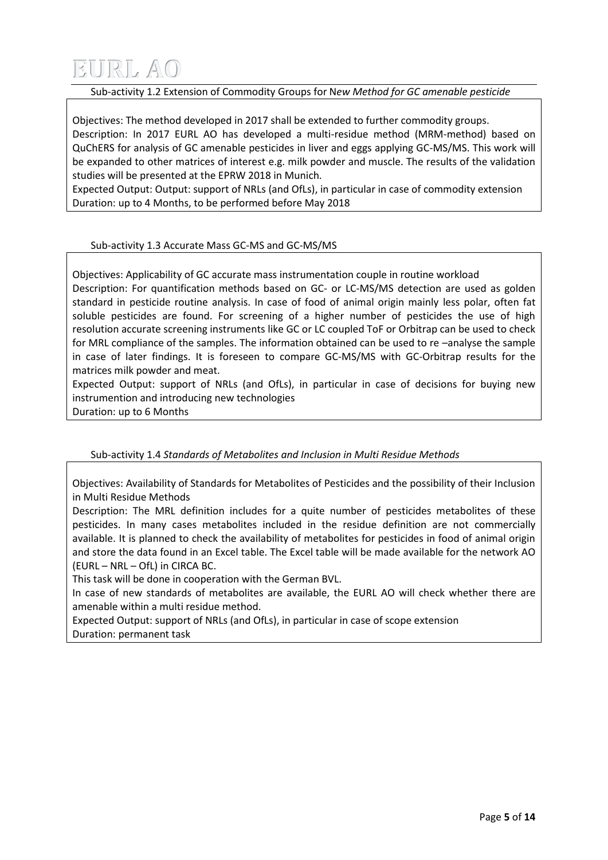#### Sub-activity 1.2 Extension of Commodity Groups for N*ew Method for GC amenable pesticide*

Objectives: The method developed in 2017 shall be extended to further commodity groups. Description: In 2017 EURL AO has developed a multi-residue method (MRM-method) based on QuChERS for analysis of GC amenable pesticides in liver and eggs applying GC-MS/MS. This work will be expanded to other matrices of interest e.g. milk powder and muscle. The results of the validation studies will be presented at the EPRW 2018 in Munich.

Expected Output: Output: support of NRLs (and OfLs), in particular in case of commodity extension Duration: up to 4 Months, to be performed before May 2018

### Sub-activity 1.3 Accurate Mass GC-MS and GC-MS/MS

Objectives: Applicability of GC accurate mass instrumentation couple in routine workload Description: For quantification methods based on GC- or LC-MS/MS detection are used as golden standard in pesticide routine analysis. In case of food of animal origin mainly less polar, often fat soluble pesticides are found. For screening of a higher number of pesticides the use of high resolution accurate screening instruments like GC or LC coupled ToF or Orbitrap can be used to check for MRL compliance of the samples. The information obtained can be used to re –analyse the sample in case of later findings. It is foreseen to compare GC-MS/MS with GC-Orbitrap results for the matrices milk powder and meat.

Expected Output: support of NRLs (and OfLs), in particular in case of decisions for buying new instrumention and introducing new technologies Duration: up to 6 Months

Sub-activity 1.4 *Standards of Metabolites and Inclusion in Multi Residue Methods*

Objectives: Availability of Standards for Metabolites of Pesticides and the possibility of their Inclusion in Multi Residue Methods

Description: The MRL definition includes for a quite number of pesticides metabolites of these pesticides. In many cases metabolites included in the residue definition are not commercially available. It is planned to check the availability of metabolites for pesticides in food of animal origin and store the data found in an Excel table. The Excel table will be made available for the network AO (EURL – NRL – OfL) in CIRCA BC.

This task will be done in cooperation with the German BVL.

In case of new standards of metabolites are available, the EURL AO will check whether there are amenable within a multi residue method.

Expected Output: support of NRLs (and OfLs), in particular in case of scope extension Duration: permanent task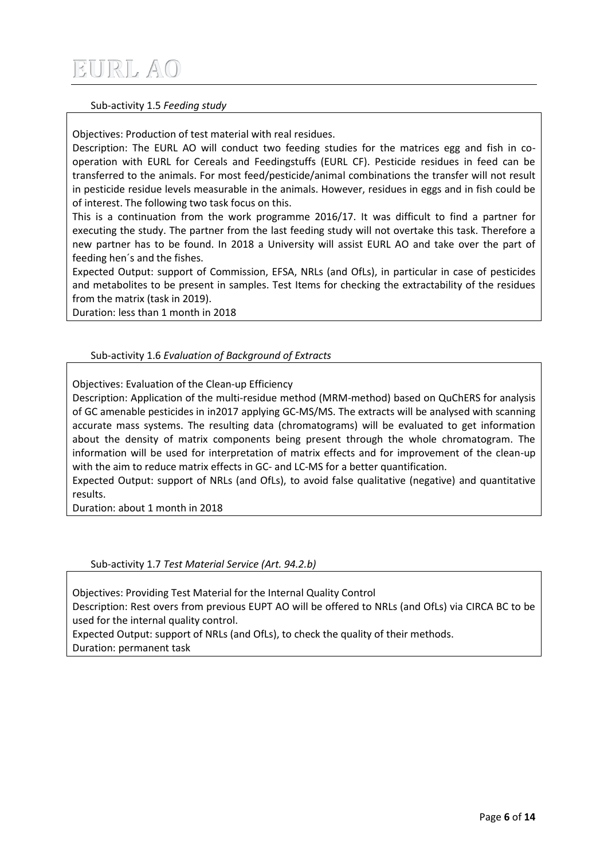#### Sub-activity 1.5 *Feeding study*

Objectives: Production of test material with real residues.

Description: The EURL AO will conduct two feeding studies for the matrices egg and fish in cooperation with EURL for Cereals and Feedingstuffs (EURL CF). Pesticide residues in feed can be transferred to the animals. For most feed/pesticide/animal combinations the transfer will not result in pesticide residue levels measurable in the animals. However, residues in eggs and in fish could be of interest. The following two task focus on this.

This is a continuation from the work programme 2016/17. It was difficult to find a partner for executing the study. The partner from the last feeding study will not overtake this task. Therefore a new partner has to be found. In 2018 a University will assist EURL AO and take over the part of feeding hen´s and the fishes.

Expected Output: support of Commission, EFSA, NRLs (and OfLs), in particular in case of pesticides and metabolites to be present in samples. Test Items for checking the extractability of the residues from the matrix (task in 2019).

Duration: less than 1 month in 2018

### Sub-activity 1.6 *Evaluation of Background of Extracts*

Objectives: Evaluation of the Clean-up Efficiency

Description: Application of the multi-residue method (MRM-method) based on QuChERS for analysis of GC amenable pesticides in in2017 applying GC-MS/MS. The extracts will be analysed with scanning accurate mass systems. The resulting data (chromatograms) will be evaluated to get information about the density of matrix components being present through the whole chromatogram. The information will be used for interpretation of matrix effects and for improvement of the clean-up with the aim to reduce matrix effects in GC- and LC-MS for a better quantification.

Expected Output: support of NRLs (and OfLs), to avoid false qualitative (negative) and quantitative results.

Duration: about 1 month in 2018

Sub-activity 1.7 *Test Material Service (Art. 94.2.b)*

Objectives: Providing Test Material for the Internal Quality Control

Description: Rest overs from previous EUPT AO will be offered to NRLs (and OfLs) via CIRCA BC to be used for the internal quality control.

Expected Output: support of NRLs (and OfLs), to check the quality of their methods. Duration: permanent task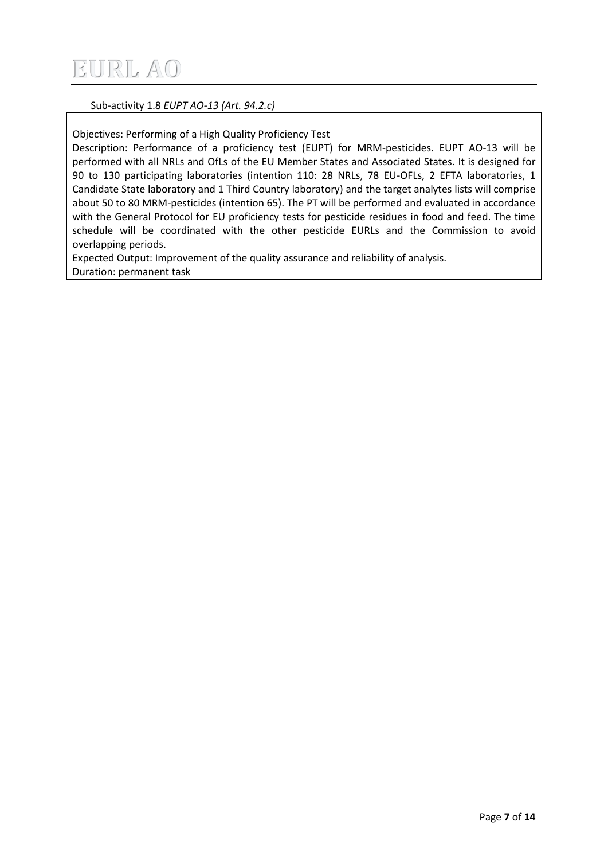#### Sub-activity 1.8 *EUPT AO-13 (Art. 94.2.c)*

Objectives: Performing of a High Quality Proficiency Test

Description: Performance of a proficiency test (EUPT) for MRM-pesticides. EUPT AO-13 will be performed with all NRLs and OfLs of the EU Member States and Associated States. It is designed for 90 to 130 participating laboratories (intention 110: 28 NRLs, 78 EU-OFLs, 2 EFTA laboratories, 1 Candidate State laboratory and 1 Third Country laboratory) and the target analytes lists will comprise about 50 to 80 MRM-pesticides (intention 65). The PT will be performed and evaluated in accordance with the General Protocol for EU proficiency tests for pesticide residues in food and feed. The time schedule will be coordinated with the other pesticide EURLs and the Commission to avoid overlapping periods.

Expected Output: Improvement of the quality assurance and reliability of analysis. Duration: permanent task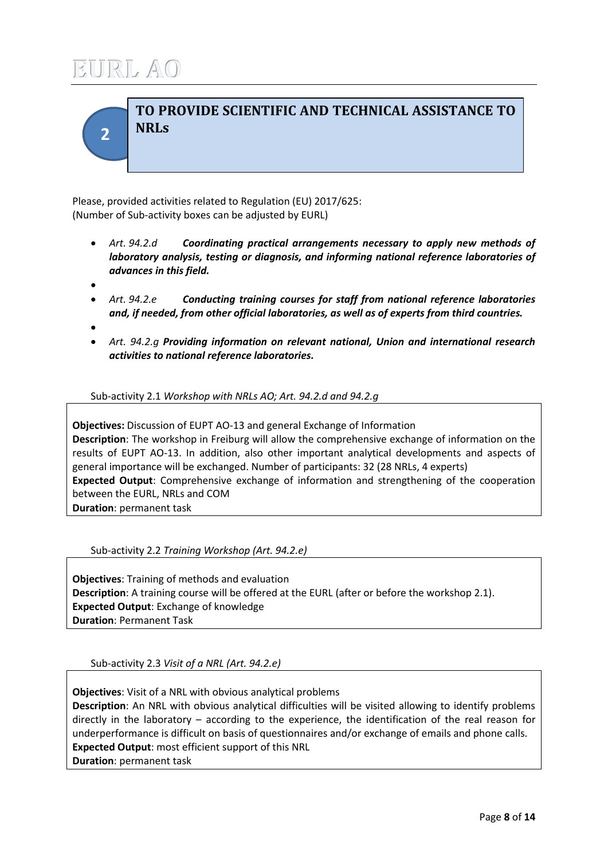**2**

## **TO PROVIDE SCIENTIFIC AND TECHNICAL ASSISTANCE TO NRLs**

Please, provided activities related to Regulation (EU) 2017/625: (Number of Sub-activity boxes can be adjusted by EURL)

- *Art. 94.2.d Coordinating practical arrangements necessary to apply new methods of laboratory analysis, testing or diagnosis, and informing national reference laboratories of advances in this field.*
- $\bullet$
- *Art. 94.2.e Conducting training courses for staff from national reference laboratories and, if needed, from other official laboratories, as well as of experts from third countries.*
- $\bullet$
- *Art. 94.2.g Providing information on relevant national, Union and international research activities to national reference laboratories.*

Sub-activity 2.1 *Workshop with NRLs AO; Art. 94.2.d and 94.2.g*

**Objectives:** Discussion of EUPT AO-13 and general Exchange of Information **Description**: The workshop in Freiburg will allow the comprehensive exchange of information on the results of EUPT AO-13. In addition, also other important analytical developments and aspects of general importance will be exchanged. Number of participants: 32 (28 NRLs, 4 experts) **Expected Output**: Comprehensive exchange of information and strengthening of the cooperation between the EURL, NRLs and COM **Duration**: permanent task

Sub-activity 2.2 *Training Workshop (Art. 94.2.e)*

**Objectives**: Training of methods and evaluation **Description**: A training course will be offered at the EURL (after or before the workshop 2.1). **Expected Output**: Exchange of knowledge **Duration**: Permanent Task

Sub-activity 2.3 *Visit of a NRL (Art. 94.2.e)*

**Objectives**: Visit of a NRL with obvious analytical problems **Description**: An NRL with obvious analytical difficulties will be visited allowing to identify problems directly in the laboratory – according to the experience, the identification of the real reason for underperformance is difficult on basis of questionnaires and/or exchange of emails and phone calls. **Expected Output**: most efficient support of this NRL **Duration**: permanent task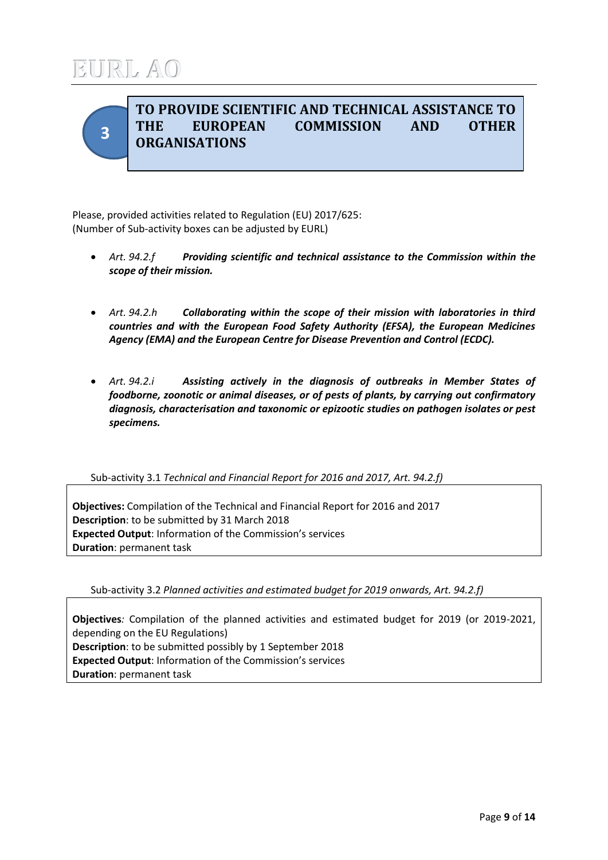

## **TO PROVIDE SCIENTIFIC AND TECHNICAL ASSISTANCE TO THE EUROPEAN COMMISSION AND OTHER ORGANISATIONS**

Please, provided activities related to Regulation (EU) 2017/625: (Number of Sub-activity boxes can be adjusted by EURL)

- *Art. 94.2.f Providing scientific and technical assistance to the Commission within the scope of their mission.*
- *Art. 94.2.h Collaborating within the scope of their mission with laboratories in third countries and with the European Food Safety Authority (EFSA), the European Medicines Agency (EMA) and the European Centre for Disease Prevention and Control (ECDC).*
- *Art. 94.2.i Assisting actively in the diagnosis of outbreaks in Member States of foodborne, zoonotic or animal diseases, or of pests of plants, by carrying out confirmatory diagnosis, characterisation and taxonomic or epizootic studies on pathogen isolates or pest specimens.*

### Sub-activity 3.1 *Technical and Financial Report for 2016 and 2017, Art. 94.2.f)*

**Objectives:** Compilation of the Technical and Financial Report for 2016 and 2017 **Description**: to be submitted by 31 March 2018 **Expected Output**: Information of the Commission's services **Duration**: permanent task

Sub-activity 3.2 *Planned activities and estimated budget for 2019 onwards, Art. 94.2.f)*

**Objectives***:* Compilation of the planned activities and estimated budget for 2019 (or 2019-2021, depending on the EU Regulations) **Description**: to be submitted possibly by 1 September 2018 **Expected Output**: Information of the Commission's services **Duration**: permanent task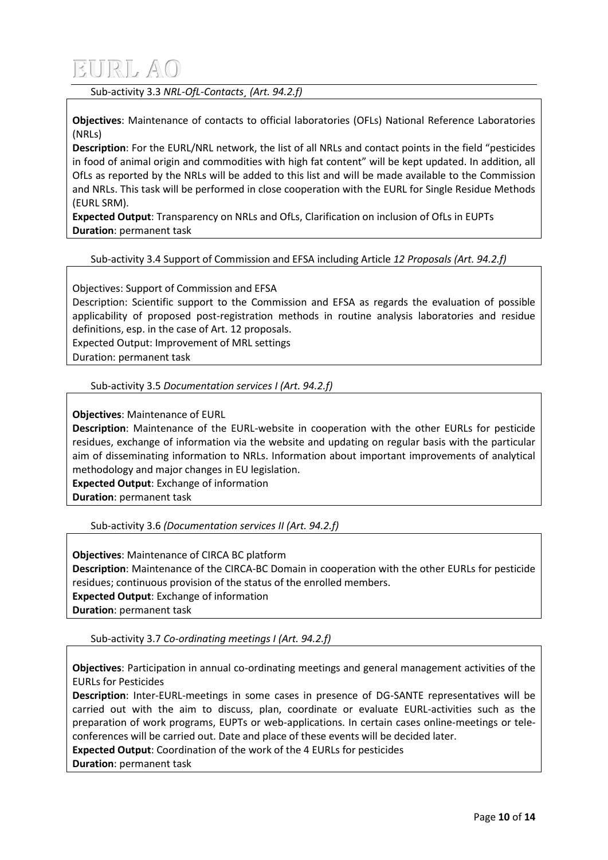Sub-activity 3.3 *NRL-OfL-Contacts¸ (Art. 94.2.f)*

**Objectives**: Maintenance of contacts to official laboratories (OFLs) National Reference Laboratories (NRLs)

**Description**: For the EURL/NRL network, the list of all NRLs and contact points in the field "pesticides in food of animal origin and commodities with high fat content" will be kept updated. In addition, all OfLs as reported by the NRLs will be added to this list and will be made available to the Commission and NRLs. This task will be performed in close cooperation with the EURL for Single Residue Methods (EURL SRM).

**Expected Output**: Transparency on NRLs and OfLs, Clarification on inclusion of OfLs in EUPTs **Duration**: permanent task

#### Sub-activity 3.4 Support of Commission and EFSA including Article *12 Proposals (Art. 94.2.f)*

Objectives: Support of Commission and EFSA

Description: Scientific support to the Commission and EFSA as regards the evaluation of possible applicability of proposed post-registration methods in routine analysis laboratories and residue definitions, esp. in the case of Art. 12 proposals.

Expected Output: Improvement of MRL settings

Duration: permanent task

#### Sub-activity 3.5 *Documentation services I (Art. 94.2.f)*

**Objectives**: Maintenance of EURL

**Description**: Maintenance of the EURL-website in cooperation with the other EURLs for pesticide residues, exchange of information via the website and updating on regular basis with the particular aim of disseminating information to NRLs. Information about important improvements of analytical methodology and major changes in EU legislation.

**Expected Output**: Exchange of information

**Duration**: permanent task

Sub-activity 3.6 *(Documentation services II (Art. 94.2.f)*

**Objectives**: Maintenance of CIRCA BC platform **Description**: Maintenance of the CIRCA-BC Domain in cooperation with the other EURLs for pesticide residues; continuous provision of the status of the enrolled members. **Expected Output**: Exchange of information **Duration**: permanent task

Sub-activity 3.7 *Co-ordinating meetings I (Art. 94.2.f)*

**Objectives**: Participation in annual co-ordinating meetings and general management activities of the EURLs for Pesticides

**Description**: Inter-EURL-meetings in some cases in presence of DG-SANTE representatives will be carried out with the aim to discuss, plan, coordinate or evaluate EURL-activities such as the preparation of work programs, EUPTs or web-applications. In certain cases online-meetings or teleconferences will be carried out. Date and place of these events will be decided later.

**Expected Output**: Coordination of the work of the 4 EURLs for pesticides

**Duration**: permanent task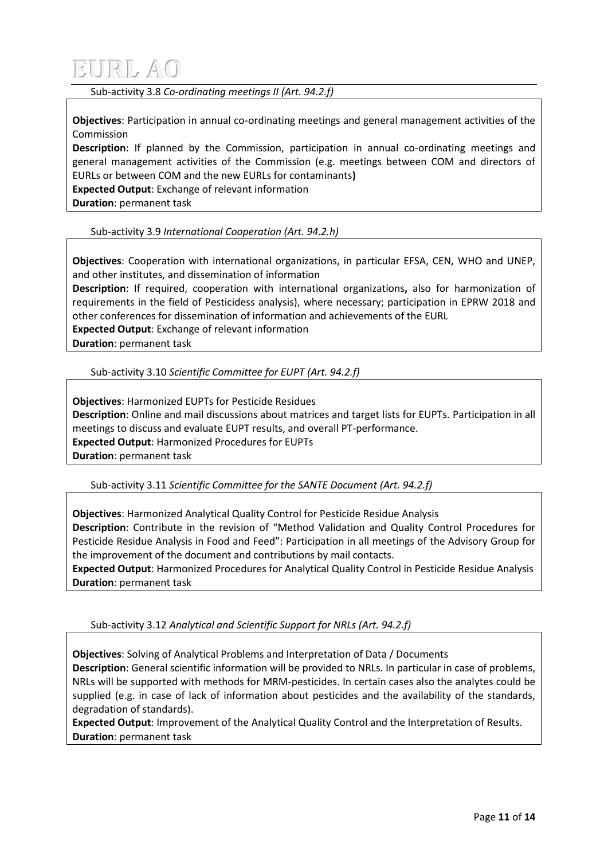Sub-activity 3.8 *Co-ordinating meetings II (Art. 94.2.f)*

**Objectives**: Participation in annual co-ordinating meetings and general management activities of the Commission

**Description**: If planned by the Commission, participation in annual co-ordinating meetings and general management activities of the Commission (e.g. meetings between COM and directors of EURLs or between COM and the new EURLs for contaminants**)**

**Expected Output**: Exchange of relevant information

**Duration**: permanent task

Sub-activity 3.9 *International Cooperation (Art. 94.2.h)*

**Objectives**: Cooperation with international organizations, in particular EFSA, CEN, WHO and UNEP, and other institutes, and dissemination of information

**Description**: If required, cooperation with international organizations**,** also for harmonization of requirements in the field of Pesticidess analysis), where necessary; participation in EPRW 2018 and other conferences for dissemination of information and achievements of the EURL

**Expected Output**: Exchange of relevant information

**Duration**: permanent task

Sub-activity 3.10 *Scientific Committee for EUPT (Art. 94.2.f)*

**Objectives**: Harmonized EUPTs for Pesticide Residues **Description**: Online and mail discussions about matrices and target lists for EUPTs. Participation in all meetings to discuss and evaluate EUPT results, and overall PT-performance. **Expected Output**: Harmonized Procedures for EUPTs **Duration**: permanent task

Sub-activity 3.11 *Scientific Committee for the SANTE Document (Art. 94.2.f)*

**Objectives**: Harmonized Analytical Quality Control for Pesticide Residue Analysis **Description**: Contribute in the revision of "Method Validation and Quality Control Procedures for Pesticide Residue Analysis in Food and Feed": Participation in all meetings of the Advisory Group for the improvement of the document and contributions by mail contacts.

**Expected Output**: Harmonized Procedures for Analytical Quality Control in Pesticide Residue Analysis **Duration**: permanent task

Sub-activity 3.12 *Analytical and Scientific Support for NRLs (Art. 94.2.f)*

**Objectives**: Solving of Analytical Problems and Interpretation of Data / Documents **Description**: General scientific information will be provided to NRLs. In particular in case of problems, NRLs will be supported with methods for MRM-pesticides. In certain cases also the analytes could be supplied (e.g. in case of lack of information about pesticides and the availability of the standards, degradation of standards).

**Expected Output**: Improvement of the Analytical Quality Control and the Interpretation of Results. **Duration**: permanent task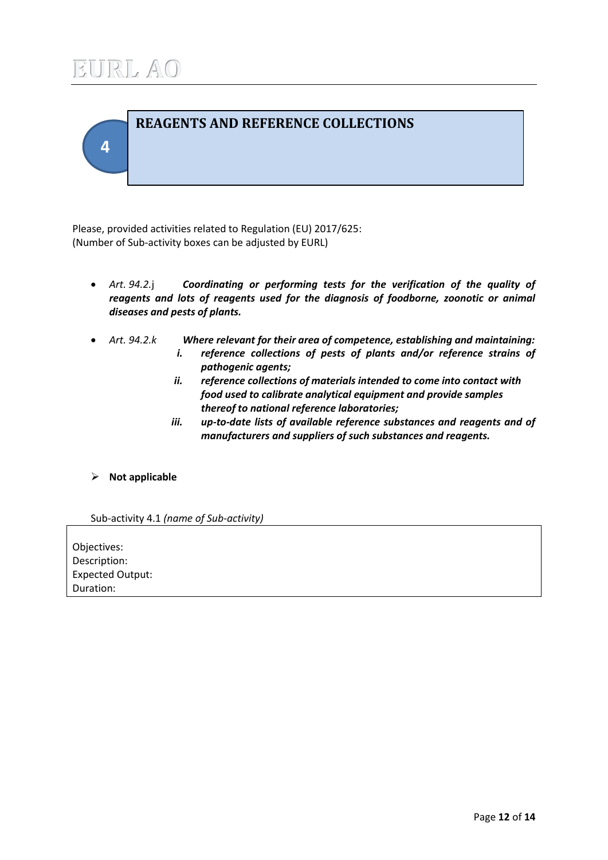

Please, provided activities related to Regulation (EU) 2017/625: (Number of Sub-activity boxes can be adjusted by EURL)

- *Art. 94.2.*j *Coordinating or performing tests for the verification of the quality of reagents and lots of reagents used for the diagnosis of foodborne, zoonotic or animal diseases and pests of plants.*
- - *Art. 94.2.k Where relevant for their area of competence, establishing and maintaining: i. reference collections of pests of plants and/or reference strains of pathogenic agents;*
		- *ii. reference collections of materials intended to come into contact with food used to calibrate analytical equipment and provide samples thereof to national reference laboratories;*
		- *iii. up-to-date lists of available reference substances and reagents and of manufacturers and suppliers of such substances and reagents.*

### **Not applicable**

Sub-activity 4.1 *(name of Sub-activity)*

Objectives: Description: Expected Output: Duration: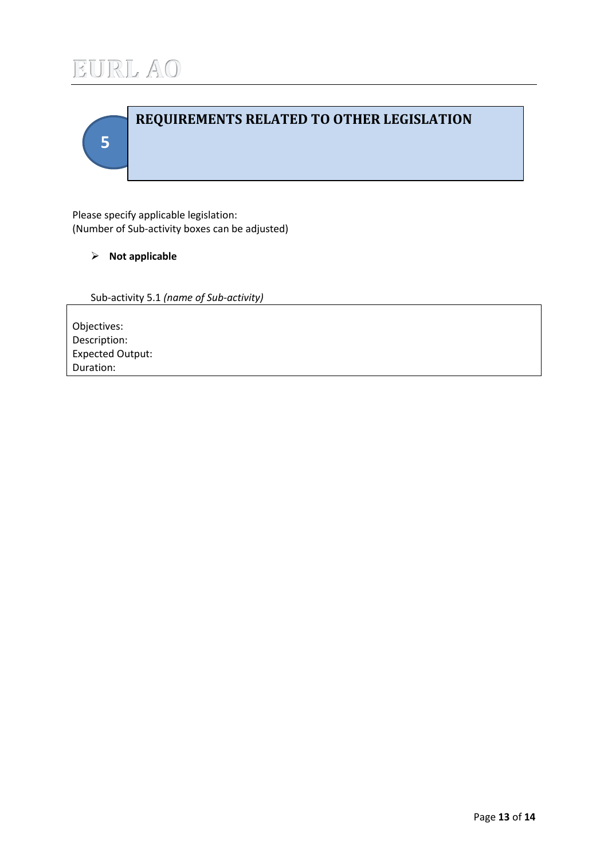

# **5 REQUIREMENTS RELATED TO OTHER LEGISLATION**

Please specify applicable legislation: (Number of Sub-activity boxes can be adjusted)

### **Not applicable**

Sub-activity 5.1 *(name of Sub-activity)*

Objectives: Description: Expected Output: Duration: